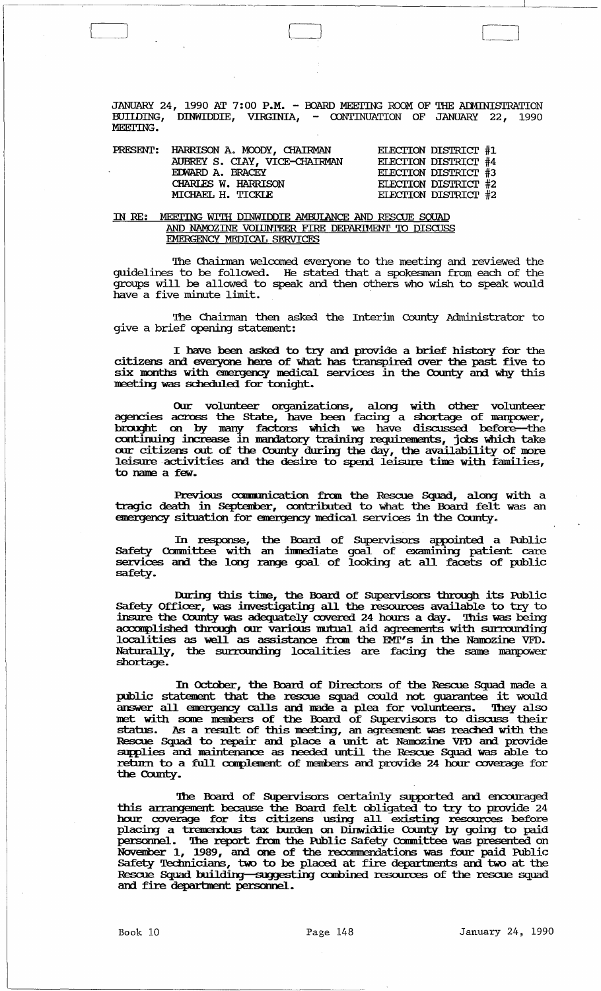JANUARY 24, 1990 AT 7:00 P.M. - BOARD MEETING ROOM OF THE ADMINISTRATION BUIIDING, DINWIDDIE, VIRGINIA, - CONTINUATION OF JANUARY 22, 1990 MEETTING.

|  | PRESENT: HARRISON A. MOODY, CHAIRMAN | ELECTION DISTRICT #1 |
|--|--------------------------------------|----------------------|
|  | AUBREY S. CIAY, VICE-CHAIRMAN        | ELECTION DISTRICT #4 |
|  | EDWARD A. BRACEY                     | ELECTION DISTRICT #3 |
|  | CHARLES W. HARRISON                  | ELECTION DISTRICT #2 |
|  | MICHAEL H. TICKLE                    | ELECTION DISTRICT #2 |

 $\begin{pmatrix} 1 & 1 & 1 \\ 1 & 1 & 1 \\ 1 & 1 & 1 \end{pmatrix}$ 

# IN RE: MEETING WITH DINWIDDIE AMBUIANCE AND RESCUE SQUAD AND NAMOZINE VOLUNTEER FIRE DEPARIMENT TO DISCUSS EMERGENCY MEDICAL SERVICFS

The Chairman welcomed everyone to the meeting and reviewed the guidelines to be followed. He stated that a spokesman from each of the groups will be allowed to speak and then others who wish to speak would have a five minute limit.

The Chairman then asked the Interim County Administrator to give a brief opening statement:

I have been asked to try and provide a brief history for the citizens and everyone here of what has transpired over the past five to six months with emergency medical services in the County and why this meeting was scheduled for tonight. six months with emergency medical services in the County and why this meeting was scheduled for tonight.

Our volunteer organizations, along with other volunteer agencies across the State, have been facing a shortage of manpower, brought on by many factors which we have discussed before-the continuing increase in mandatory training requirements, jobs which take our citizens out of the County during the day, the availability of more leisure activities and the desire to spend leisure time with families, to name a few.

Previous communication from the Rescue Squad, along with a tragic death in September, contributed to what the Board felt was an emergency situation for emergency medical services in the County.

In response, the Board of Supervisors appointed a Public Safety Committee with an immediate goal of examining patient care services and the long range goal of looking at all facets of public safety.

During this time, the Board of Supervisors through its Public Safety Officer, was investigating all the resources available to try to insure the County was adequately covered 24 hours a day. This was being accomplished through our various mutual aid agreements with surrounding localities as well as assistance fran the EMl"s in the Nanozine VFD. Naturally, the surrounding localities are facing the same manpower shortage.

In October, the Board of Directors of the Rescue Squad made a public statement that the rescue squad could not guarantee it would passive seater and the research square court is the gardiness. They also net with some members of the Board of Supervisors to discuss their status. As a result of this meeting, an agreement was reached with the Bescue Squad to repair and place a unit at Namozine VFD and provide supplies and maintenance as needed until the Rescue Squad was able to return to a full complement of members and provide 24 hour coverage for the County.

The Board of Supervisors certainly supported and encouraged this arrangement because the Board felt obligated to try to provide 24 hour coverage for its citizens using all existing resources before placing a trem:nious tax burden on Dinwiddie County by going to paid personnel. The report from the Public Safety Committee was presented on November 1, 1989, and one of the recommendations was four paid Public: hour coverage for its citizens using all existing resources before placing a tremendous tax burden on Dinwiddie County by going to paid personnel. The report from the Public Safety Committee was presented on November 1, 19 Rescue Squad building-suggesting combined resources of the rescue squad and fire department personnel.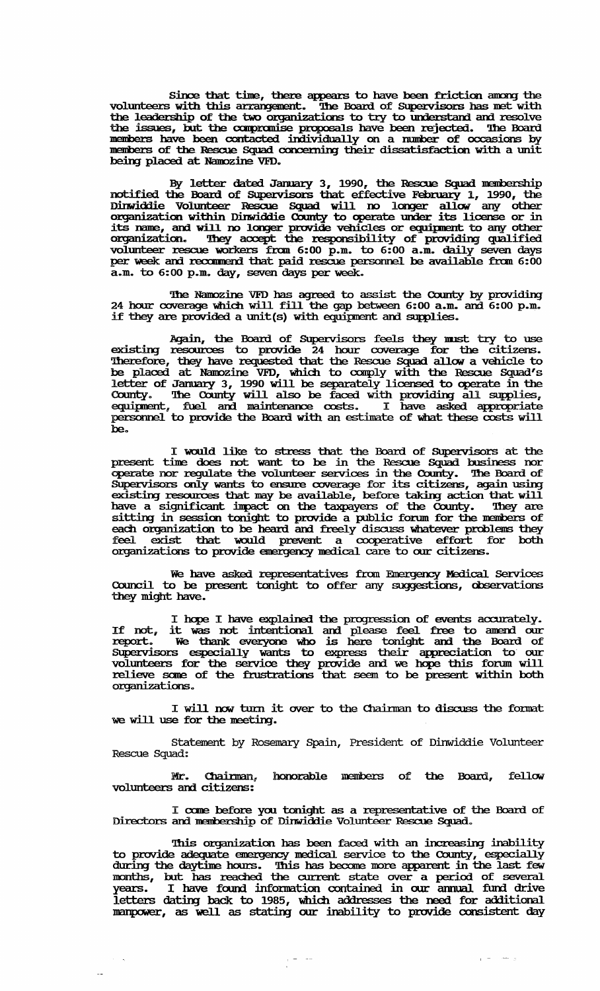since that time, there appears to have been friction among the volunteers with this arrangement. The Board of Supervisors has met with volunteers with this arrangement. The Board of Supervisors has met with the leadership of the two organizations to try to understand and resolve the issues, but the compromise proposals have been rejected. The Board members have been contacted individually on a number of occasions by members of the Rescue Squad concerning their dissatisfaction with a unit being placed at Namozine VFD.

By letter dated January 3, 1990, the Rescue Squad membership notified the Boanl of SUpervisors that effective Februmy 1, 1990, the Dinwiddie Volunteer Rescue Squad will no longer allow any other organization within Dinwiddie County to operate umer its license or in its name, and will no longer provide vehicles or equipment to any other organization. They accept the responsibility of providing qualified volunteer rescue workers from 6:00 p.m. to 6:00 a.m. daily seven days per week and recommend that paid rescue personnel be available from  $6:00$ a.m. to 6:00 p.m. day, seven days per week.

The Namozine VFD has agreed to assist the County by providing 24 hour coverage which will fill the gap between 6:00 a.m. and 6:00 p.m. if they are provided a mrlt(s) with equiprent am supplies.

Again, the Board of Supervisors feels they must try to use existing resources to provide 24 hour coverage for the citizens. Therefore, they have requested that the Rescue Squad allow a vehicle to be placed at Namozine VFD, which to comply with the Rescue Squad's letter of January 3, 1990 will be separately licensed to operate in the County. The County will also be faced with providing all supplies, equipment, fuel and maintenance costs. I have asked appropriate personnel to provide the Board with an estimate of what these costs will be.

I would like to stress that the Board of Supervisors at the present. time does not want to be in the Rescue Squad business nor operate nor regulate the volunteer services in the County. The Board of SUpervisors only wants to ensure coverage for its citizens, again using existing resources that may be available, before taking action that will have a significant impact on the taxpayers of the County. They are sitting in session tonight to provide a public forum for the members of each organization to be heard and freely discuss whatever problems they feel exist that would prevent a cooperative effort for both organizations to provide emergency medical care to our citizens.

We have asked representatives from Emergency Medical Services Council to be present tonight to offer any suggestions, observations they might have.

I hope I have explained the progression of events accurately. I hope I have explained the progression of events accurately.<br>If not, it was not intentional and please feel free to anend our report. We thank everyone who is here tonight and the Board of Supervisors especially wants to express their appreciation to our volunteers for the service they provide and we hope this forum will relieve some of the frustrations that seem to be present within both organizatians.

I will now turn it over to the Chairman to discuss the format we will use for the meeting.

statement by Rosemary Spain, President of Dinwiddie Volunteer Rescue Squad:

Mr. Chairman, honorable members of the Board, fellow volunteers and citizens:

I come before you tonight as a representative of the Board of Directors and membership of Dinwiddie Volunteer Rescue Squad.

This organization has been faced with an increasing inability to provide adequate energency nelical service to the County, especially during the daytime hours. This has become more apparent in the last few months, but has reached the current state over a period of several years. I have found information contained in our annual fund drive letters dating back to 1985, which addresses the need for additional manpower, as well as stating our inability to provide consistent day

 $\frac{1}{2}$  =  $\frac{1}{2}$  =  $\frac{1}{2}$ 

 $\tau = \tau_0$ 

 $\epsilon$  ,  $\rightarrow$  ,  $\sim$   $\sim$   $\sim$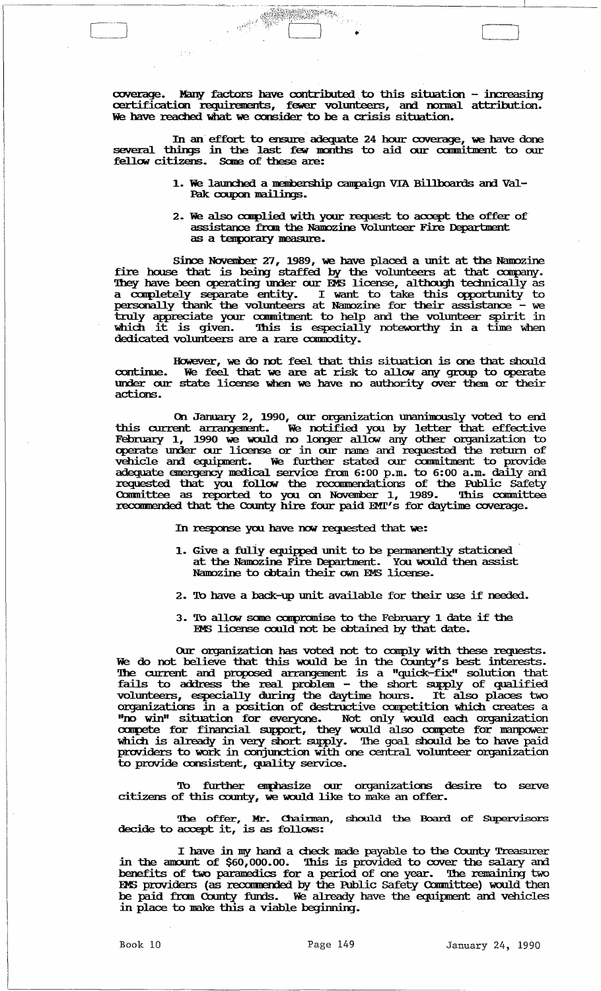coverage. Many factors have contributed to this situation - increasing certification requirements, fewer volunteers, and normal attribution. We have reached what we consider to be a crisis situation.

In an effort to ensure adequate 24 hour coverage, we have done several things in the last few months to aid our commitment to our fellow citizens. Sane of these are:

> 1. We launched a membership campaign VIA Billboards and Val-Pak coupon mailings.

 $\big]$ 

2. We also complied with your request to accept the offer of assistance from the Namozine Volunteer Fire Department as a temporary measure.

since November 27, 1989, we have placed a unit at the Namozine fire house that is being staffed by the volunteers at that company. They have been operating under our EMS license, although technically as a completely separate entity. I want to take this opportunity to personally thank the volunteers at Namozine for their assistance - we truly appreciate your commitment to help and the volunteer spirit in which it is given. This is especially noteworthy in a time when dedicated volunteers are a rare commodity.

However, we do not feel that this situation is one that should continue. We feel that we are at risk to allow any group to operate continue. We feel that we are at risk to allow any group to operate under our state license when we have no authority over them or their actions.

On January 2, 1990, our organization unanimously voted to end this current arrargenert:. We notified you by letter that effective February 1, 1990 we would no longer allow any other organization to operate under our license or in our name and requested the return of vehicle and equipment. We further stated our commitment to provide adequate energency medical service from 6:00 p.m. to 6:00 a.m. daily and requested that you follow the recommendations of the Public Safety Committee as reported to you on November 1, 1989. This committee recommended that the County hire four paid EMI's for daytime coverage.

In response you have now requested that we:

- 1. Give a fully equipped unit to be permanently stationed at the Namozine Fire Department. You would then assist Namozine to obtain their own EMS license.
- 2. To have a back-up unit available for their use if needed.
- 3. 'lb allow same carpranise to the February 1 date if the EMS license could not be obtained by that date.

OUr organization has voted not to canply with these requests. We do not believe that this would be in the County's best interests. The current and proposed arrangement is a "quick-fix" solution that fails to address the real problem - the short supply of qualified volunteers, especially during the daytime hours. It also places two organizations in a position of destructive canpetition which creates a "no win" situation for everyone. Not only would each organization compete for financial support, they would also compete for manpower which is already in very short supply. The goal should be to have paid  $\frac{1}{2}$  is  $\frac{1}{2}$  in  $\frac{1}{2}$  in  $\frac{1}{2}$  in  $\frac{1}{2}$  in  $\frac{1}{2}$  in  $\frac{1}{2}$  is  $\frac{1}{2}$  in  $\frac{1}{2}$  in  $\frac{1}{2}$  in  $\frac{1}{2}$  in  $\frac{1}{2}$  in  $\frac{1}{2}$  in  $\frac{1}{2}$  in  $\frac{1}{2}$  in  $\frac{1}{2}$  in  $\frac{1}{2}$  in to provide consistent, quality service.

To further emphasize our organizations desire to serve citizens of this county, we would like to make an offer.

The offer, Mr. Chairman, should the Board of Supervisors decide to accept it, is as follows:

I have in my hand a check made payable to the County Treasurer in the anomt of \$60,000.00. 'Ihis is provided to cover the salary am benefits of two paranelics for a period of one year. '1be remaining two EMS providers (as recommended by the Public Safety Committee) would then be paid from County funds. We already have the equipment and vehicles in place to make this a viable beginning.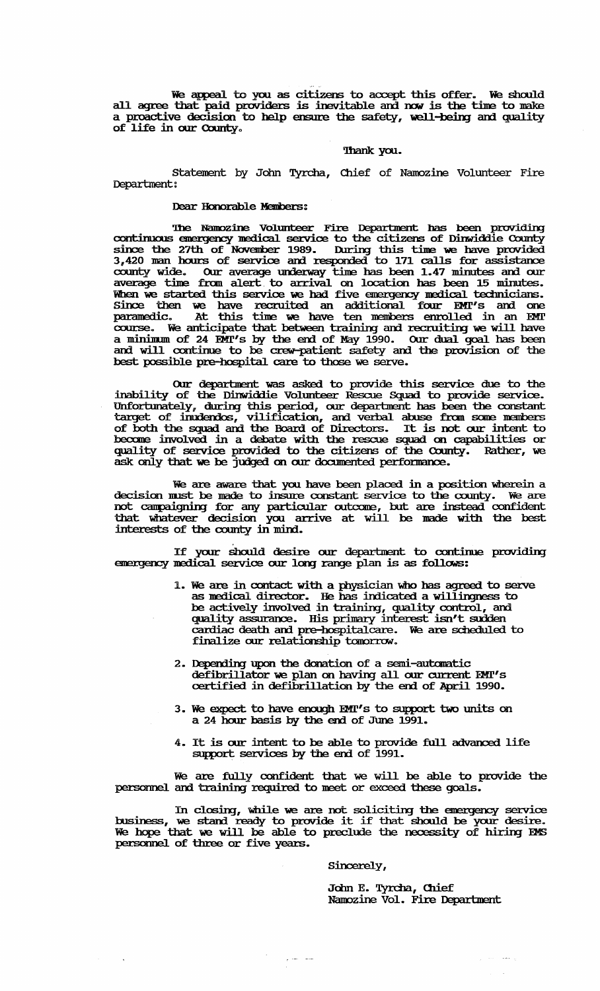We appeal to you as citizens to accept this offer. We should all agree that paid providers is inevitable and now is the time to make a proactive decision to help ensure the safety, well-being and quality of life in our County.

#### Thank you.

Statement by John Tyrcha, Chief of Namozine Volunteer Fire Department:

# Dear Honorable Members:

The Namozine Volunteer Fire Department has been providing<br>continuous emergency medical service to the citizens of Dinwiddie County<br>since the 27th of November 1989. During this time we have provided<br>3,420 man hours of servi When we started this service we had five emergency medical technicians. since then we have recruited an additional four EMT's and one<br>paramedic. At this time we have ten members enrolled in an EMT<br>course. We anticipate that between training and recruiting we will have a minimum of 24 EMT's by the end of May 1990. Our dual goal has been<br>and will continue to be crew-patient safety and the provision of the<br>best possible pre-hospital care to those we serve.

Our department was asked to provide this service due to the inability of the Dinwiddie Volunteer Rescue Squad to provide service. Unfortunately, during this period, our department has been the constant<br>target of inudendos, vilification, and verbal abuse from some members<br>of both the squad and the Board of Directors. It is not our intent to<br>become inv quality of service provided to the citizens of the County. Rather, we ask only that we be judged on our documented performance.

We are aware that you have been placed in a position wherein a decision must be made to insure constant service to the county. We are<br>not campaigning for any particular outcome, but are instead confident<br>that whatever decision you arrive at will be made with the best interests of the county in mind.

If your should desire our department to continue providing<br>emergency medical service our long range plan is as follows:

- 1. We are in contact with a physician who has agreed to serve as medical director. He has indicated a willingness to be actively involved in training, quality control, and quality assurance. His primary interest isn't sudden cardiac death and pre-hospitalcare. We are scheduled to finalize our relationship tomorrow.
- 2. Depending upon the donation of a semi-automatic defibrillator we plan on having all our current EMT's<br>certified in defibrillation by the end of April 1990.
- 3. We expect to have enough EMT's to support two units on a 24 hour basis by the end of June 1991.
- 4. It is our intent to be able to provide full advanced life support services by the end of 1991.

We are fully confident that we will be able to provide the personnel and training required to meet or exceed these goals.

In closing, while we are not soliciting the emergency service business, we stand ready to provide it if that should be your desire.<br>We hope that we will be able to preclude the necessity of hiring EMS personnel of three or five years.

مستراتين

#### Sincerely,

John E. Tyrcha, Chief Namozine Vol. Fire Department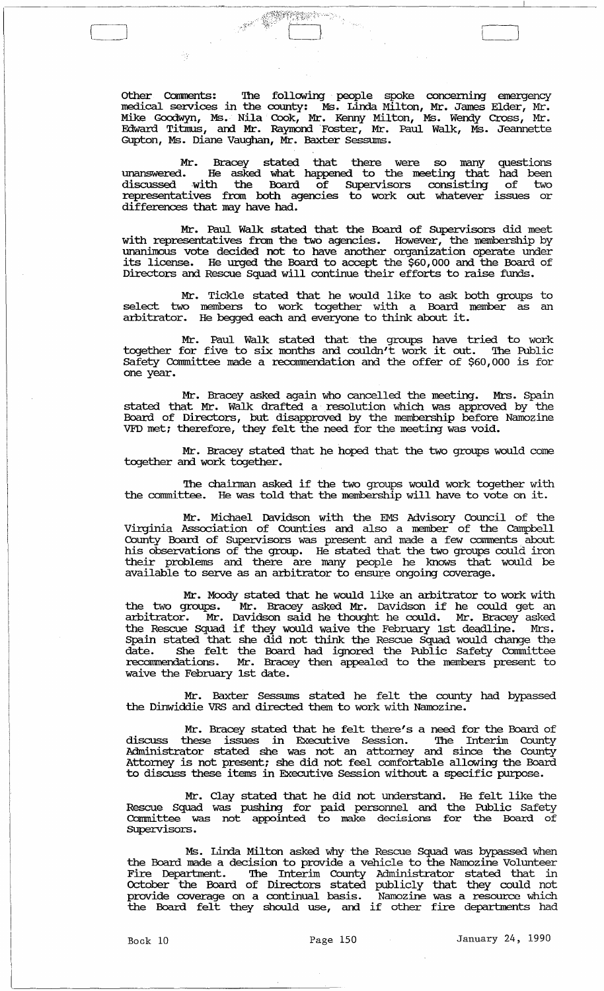other Comments: '!he following people spoke concenring emergency medical services in the county: Ms. Linda Milton, Mr. James Elder, Mr. Mike Goodwyn, Ms. Nila Cook, Mr. Kenny Milton, Ms. Wendy Cross, Mr. Edward Titmus, and Mr. Raymond Foster, Mr. Paul Walk, Ms. Jeannette Gupton, Ms. Diane Vaughan, Mr. Baxter Sessums.

The Common Section of the Common Section 2014

Aş

[

Mr. Bracey stated that there were so many questions unanswered. He asked what happened to the meeting that had been discussed with the Board of Supervisors consisting of two representatives from both agencies to work out whatever issues or differences that may have had.

Mr. Paul Walk stated that the Board of SUpervisors did meet with representatives from the two agencies. However, the membership by unanimous vote decided not to have another organization operate under its license. He urged the Board to accept the \$60,000 and the Board of Directors and Rescue Squad will continue their efforts to raise funds.

Mr. Tickle stated that he would like to ask both groups to select two members to work together with a Board member as an arbitrator. He begged each and everyone to think about it.

Mr. Paul Walk stated that the groups have tried to work together for five to six months and couldn't work it out. '!he Public Safety Committee made a recommendation and the offer of \$60,000 is for one year.

Mr. Bracey asked again who cancelled the meeting. Mrs. Spain stated that Mr. Walk drafted a resolution which was approved by the Board of Directors, but disapproved by the membership before Namozine VFD met; therefore, they felt the need for the meeting was void.

Mr. Bracey stated that he hoped that the two groups would come together and work together.

The chairman asked if the two groups would work together with the committee. He was told that the membership will have to vote on it.

Mr. Michael Davidson with the EMS Advisory Council of the Virginia Association of Counties and also a member of the campbell County Board of SUpervisors was present and made a few conunents. about his observations of the group. He stated that the two groups could iron their problems and there are many people he knows that would be available to serve as an arbitrator to ensure ongoing coverage.

Mr. Moody stated that he would like an arbitrator to work with the two groups. Mr. Bracey asked Mr. Davidson if he could get an arbitrator. Mr. Davidson said he thought he could. Mr. Bracey asked the Rescue Squad if they would waive the February 1st deadline. Mrs. Spain stated that she did not think the Rescue Squad would change the date. She felt the Board had ignored the Public Safety Cormnittee recommendations. Mr. Bracey then appealed to the members present to waive the February 1st date.

Mr. Baxter Sessums stated he felt the county had bypassed the Dinwiddie VRS and directed them to work with Namozine.

Mr. Bracey stated that he felt there's a need for the Board of discuss these issues in Executive Session. '!he Interim County Administrator stated she was not an attorney and since the County Attorney is not present; she did not feel comfortable allowing the Board to discuss these items in Executive Session without a specific purpose.

Mr. Clay stated that he did not understand. He felt like the Rescue Squad was pushing for paid personnel and the Public Safety Cormnittee was not appointed to make decisions for the Board of Supervisors.

Ms. Linda Milton asked why the Rescue Squad was bypassed when the Board made a decision to provide a vehicle to the Namozine Volunteer Fire Department. The Interim County Administrator stated that in October the Board of Directors stated publicly that they could not provide coverage on a continual basis. Namozine was a resource which<br>the Board felt they should use, and if other fire departments had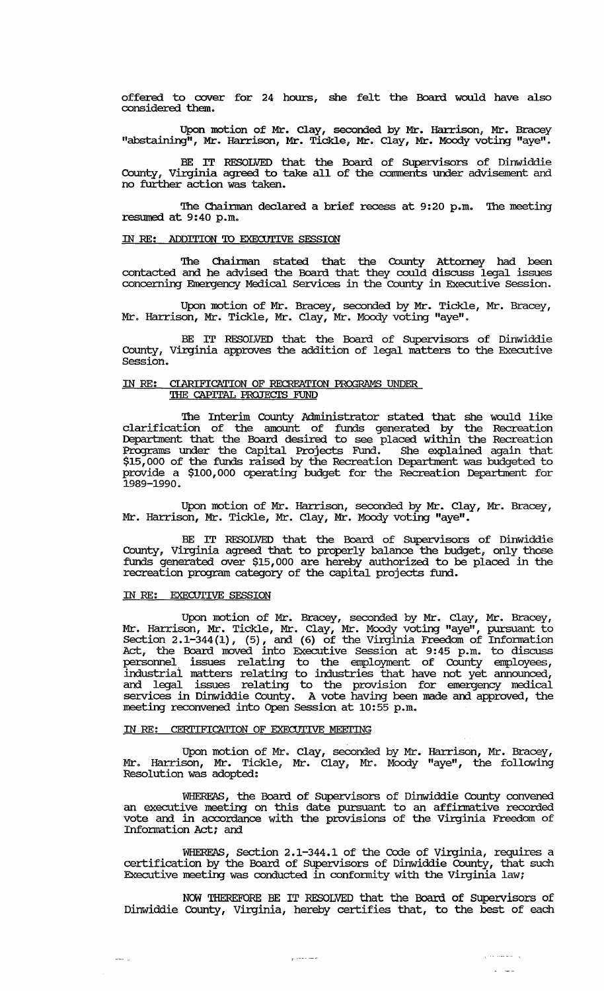offered to cover for 24 hours, she felt the Board would have also considered them.

Upon motion of Mr. Clay, seconded by Mr. Harrison, Mr. Bracey "abstaining", Mr. Harrison, Mr. Tic1de, Mr. Clay, Mr. Moody voting "aye".

BE IT RESOLVED that the Board of SUpervisors of Dinwiddie County, Virginia agreed to take all of the comments under advisement and no further action was taken.

The Chairman declared a brief recess at 9:20 p.m. The meeting resumed at 9:40 p.m.

# IN RE: ADDITION TO EXECUTIVE SESSION

'!he Chainnan stated that the County Attorney had been contacted and he advised the Board that they could discuss legal issues concerning Emergency Medical services *in* the County *in* Executive Session.

Upon motion of Mr. Bracey, seconded by Mr. Tickle, Mr. Bracey, Mr. Harrison, Mr. Tickle, Mr. Clay, Mr. Moody voting "aye".

BE IT RESOLVED that the Board of SUpervisors of Dinwiddie County, Virginia approves the addition of legal matters to the Executive Session.

# IN RE: CLARIFICATION OF RECREATION PROGRAMS UNDER THE CAPITAL PROJECTS FUND

The Interim County Administrator stated that she would like clarification of the amount of funds generated by the Recreation Department that the Board desired to see placed within the Recreation Programs under the capital Projects Fund. She explained again that \$15,000 of the funds raised by the Recreation Department was budgeted to provide a \$100,000 operating budget for the Recreation Department for 1989-1990.

Upon motion of Mr. Harrison, seconded by Mr. Clay, Mr. Bracey, Mr. Harrison, Mr. Tickle, Mr. Clay, Mr. Moody voting "aye".

BE IT RESOLVED that the Board of Supervisors of Dinwiddie County, Virginia agreed that to properly balance the budget, only those funds generated over \$15,000 are hereby authorized to be placed in the recreation program category of the capital projects fund.

### IN RE: EXECUTIVE SESSION

 $\overline{\phantom{a}}$ 

Upon motion of Mr. Bracey, seconded by Mr. Clay, Mr. Bracey, Mr. Harrison, Mr. Tickle, Mr. Clay, Mr. Moody voting "aye", pursuant to Section 2.1-344(1), (5), and (6) of the Virginia Freedom of Information Act, the Board moved into Executive Session at 9:45 p.m. to discuss personnel, issues relating to the employment of County employees, industrial matters relating to industries that have not yet announced, and legal issues relating to the provision for emergency medical services in Dinwiddie County. A vote having been made and approved, the meeting reconvened into Open Session at 10:55 p.m.

# IN RE: CERTIFICATION OF EXECUTIVE MEETING

Upon motion of Mr. Clay, seconded by Mr. Harrison, Mr. Bracey, Mr. Harrison, Mr. Tickle, Mr. Clay, Mr. Moody "aye", the following Resolution was adopted:

WHEREAS, the Board of SUpervisors of Dinwiddie County convened an executive meeting on this date pursuant to an affirmative recorded vote and *in* accordance with the provisions of the Virginia Freedom of Information Act; and

WHEREAS, Section 2.1-344.1 of the Code of Virginia, requires a certification by the Board of SUpervisors of Dinwiddie County, that such Executive meeting was conducted *in* confonnity with the virginia law;

NOW THEREFORE BE IT RESOLVED that the Board of supervisors of Dinwiddie County, Virginia, hereby certifies that, to the best of each

المنفس الما

 $f \rightarrow -$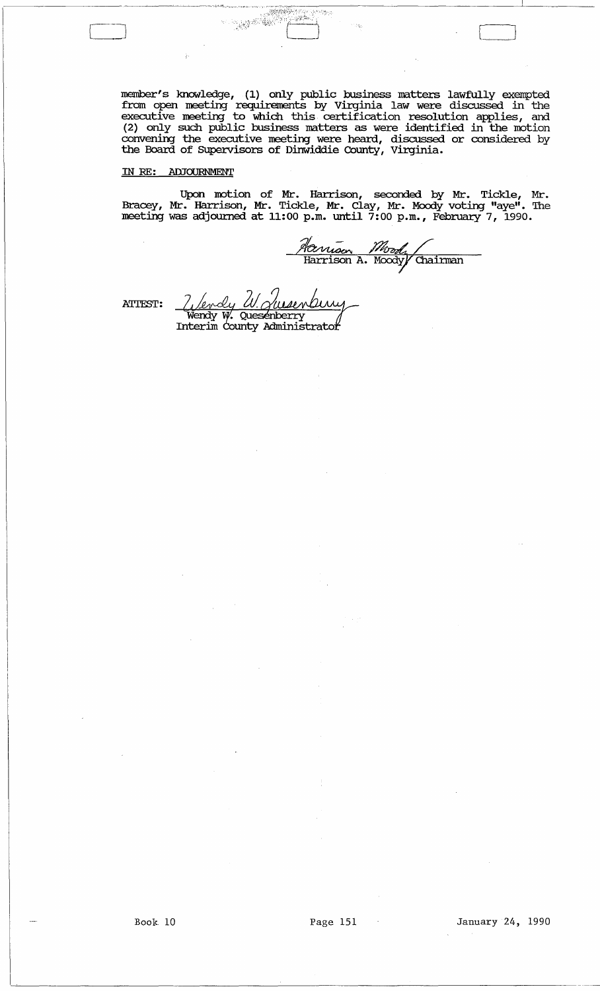member's knowledge, (1) only public business matters lawfully exempted from open meeting requirements by Virginia law were discussed in the executive meeting to which this certification resolution applies, and (2) only such public business matters as were identified in the motion convening the executive meeting were heard, discussed or considered by the Board of SUpervisors of Dinwiddie County, Virginia.

, \_\_\_ --------~-~-\_\_ '7""" ,,> •• ~, .~\_,\_.\_,',~-~---------~~----.---L----- ~·~!/);":t.:·;) ';,,, '.~)'<~'\_'

 $\sim$  ,  $\sim$   $\sim$   $\sim$ 

# IN RE: ADJOURNMENT

ķ.

Upon motion of Mr. Harrison, seconded by Mr. Tickle, Mr. Bracey, Mr. Harrison, Mr. Tickle, Mr. Clay, Mr. Moody voting "aye". The meeting was adjourned at 11:00 p.m. until 7:00 p.m., February 7, 1990.

Hanison Moody Cha 1<br>anison A. Noody Chairman

ATTEST:

Z Levdy W. Queenbury<br>Wendy W. Quesenberry<br>Interim county Administrator